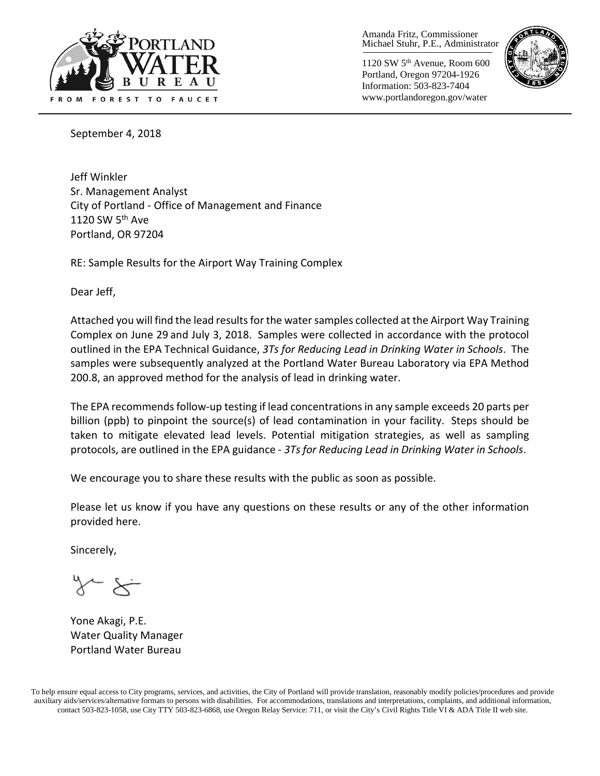

Amanda Fritz, Commissioner Michael Stuhr, P.E., Administrator

1120 SW 5th Avenue, Room 600 Portland, Oregon 97204-1926 Information: 503-823-7404 www.portlandoregon.gov/water



September 4, 2018

Jeff Winkler Sr. Management Analyst City of Portland - Office of Management and Finance 1120 SW 5<sup>th</sup> Ave Portland, OR 97204

RE: Sample Results for the Airport Way Training Complex

Dear Jeff,

Attached you will find the lead results for the water samples collected at the Airport Way Training Complex on June 29 and July 3, 2018. Samples were collected in accordance with the protocol outlined in the EPA Technical Guidance, *3Ts for Reducing Lead in Drinking Water in Schools*. The samples were subsequently analyzed at the Portland Water Bureau Laboratory via EPA Method 200.8, an approved method for the analysis of lead in drinking water.

The EPA recommends follow-up testing if lead concentrations in any sample exceeds 20 parts per billion (ppb) to pinpoint the source(s) of lead contamination in your facility. Steps should be taken to mitigate elevated lead levels. Potential mitigation strategies, as well as sampling protocols, are outlined in the EPA guidance - *3Ts for Reducing Lead in Drinking Water in Schools*.

We encourage you to share these results with the public as soon as possible.

Please let us know if you have any questions on these results or any of the other information provided here.

Sincerely,

Yone Akagi, P.E. Water Quality Manager Portland Water Bureau

To help ensure equal access to City programs, services, and activities, the City of Portland will provide translation, reasonably modify policies/procedures and provide auxiliary aids/services/alternative formats to persons with disabilities. For accommodations, translations and interpretations, complaints, and additional information, contact 503-823-1058, use City TTY 503-823-6868, use Oregon Relay Service: 711, or visit the City's Civil Rights [Title VI & ADA Title II web site.](http://www.portlandoregon.gov/oehr/66458)